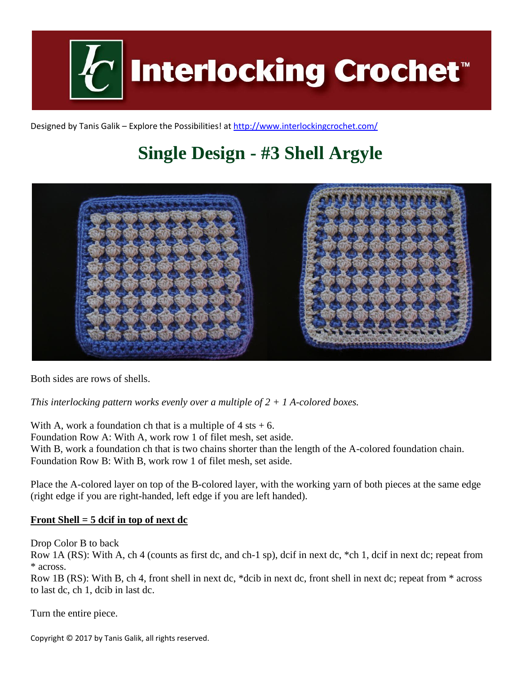

Designed by Tanis Galik – Explore the Possibilities! a[t http://www.interlockingcrochet.com/](http://www.interlockingcrochet.com/)

## **Single Design - #3 Shell Argyle**



Both sides are rows of shells.

*This interlocking pattern works evenly over a multiple of 2 + 1 A-colored boxes.*

With A, work a foundation ch that is a multiple of  $4$  sts  $+ 6$ . Foundation Row A: With A, work row 1 of filet mesh, set aside. With B, work a foundation ch that is two chains shorter than the length of the A-colored foundation chain. Foundation Row B: With B, work row 1 of filet mesh, set aside.

Place the A-colored layer on top of the B-colored layer, with the working yarn of both pieces at the same edge (right edge if you are right-handed, left edge if you are left handed).

## **Front Shell = 5 dcif in top of next dc**

Drop Color B to back

Row 1A (RS): With A, ch 4 (counts as first dc, and ch-1 sp), dcif in next dc, \*ch 1, dcif in next dc; repeat from \* across.

Row 1B (RS): With B, ch 4, front shell in next dc, \*dcib in next dc, front shell in next dc; repeat from \* across to last dc, ch 1, dcib in last dc.

Turn the entire piece.

Copyright © 2017 by Tanis Galik, all rights reserved.